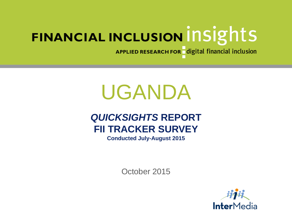APPLIED RESEARCH FOR digital financial inclusion

# UGANDA

# *QUICKSIGHTS* **REPORT FII TRACKER SURVEY**

**Conducted July-August 2015**

October 2015

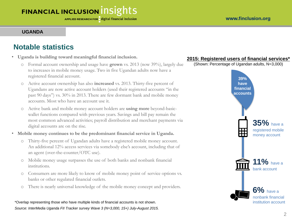### **UGANDA**

### **Notable statistics**

- **Uganda is building toward meaningful financial inclusion.**
	- o Formal account ownership and usage have **grown** vs. 2013 (now 39%), largely due to increases in mobile money usage. Two in five Ugandan adults now have a registered financial account.
	- o Active account ownership has also **increased** vs. 2013. Thirty-five percent of Ugandans are now active account holders (used their registered accounts "in the past 90 days") vs. 30% in 2013. There are few dormant bank and mobile money accounts. Most who have an account use it.
	- o Active bank and mobile money account holders are **using more** beyond-basicwallet functions compared with previous years. Savings and bill pay remain the most common advanced activities; payroll distribution and merchant payments via digital accounts are on the rise.
- **Mobile money continues to be the predominant financial service in Uganda.**
	- o Thirty-five percent of Ugandan adults have a registered mobile money account. An additional 12% access services via somebody else's account, including that of an agent (over-the-counter/OTC use).
	- o Mobile money usage surpasses the use of both banks and nonbank financial institutions.
	- o Consumers are more likely to know of mobile money point of service options vs. banks or other regulated financial outlets.
	- o There is nearly universal knowledge of the mobile money concept and providers.

#### \*Overlap representing those who have multiple kinds of financial accounts is not shown. *Source: InterMedia Uganda FII Tracker survey Wave 3 (N=3,000, 15+) July-August 2015.*

### **2015: Registered users of financial services\***

(Shown: Percentage of Ugandan adults, N=3,000)

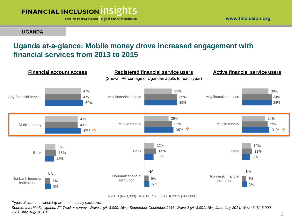

**UGANDA**

# **Uganda at-a-glance: Mobile money drove increased engagement with financial services from 2013 to 2015**



Types of account ownership are not mutually exclusive.

*Source: InterMedia Uganda FII Tracker surveys Wave 1 (N=3,000, 15+), September-December 2013; Wave 2 (N=3,001, 15+) June-July 2014; Wave 3 (N=3,000, 15+), July-August 2015.*

www.finclusion.org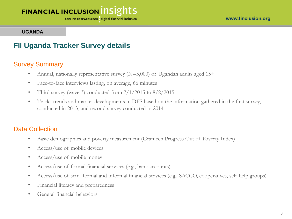#### www.finclusion.org

# FINANCIAL INCLUSION INSIGHTS

APPLIED RESEARCH FOR digital financial inclusion

#### **UGANDA**

### **FII Uganda Tracker Survey details**

### Survey Summary

- Annual, nationally representative survey  $(N=3,000)$  of Ugandan adults aged 15+
- Face-to-face interviews lasting, on average, 66 minutes
- Third survey (wave 3) conducted from  $7/1/2015$  to  $8/2/2015$
- Tracks trends and market developments in DFS based on the information gathered in the first survey, conducted in 2013, and second survey conducted in 2014

### Data Collection

- Basic demographics and poverty measurement (Grameen Progress Out of Poverty Index)
- Access/use of mobile devices
- Access/use of mobile money
- Access/use of formal financial services (e.g., bank accounts)
- Access/use of semi-formal and informal financial services (e.g., SACCO, cooperatives, self-help groups)
- Financial literacy and preparedness
- General financial behaviors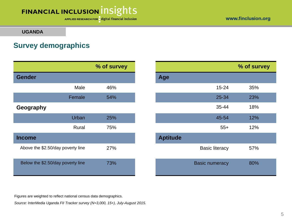APPLIED RESEARCH FOR digital financial inclusion

www.finclusion.org

#### **UGANDA**

### **Survey demographics**

|                                   |        | % of survey |                 |                       |
|-----------------------------------|--------|-------------|-----------------|-----------------------|
| <b>Gender</b>                     |        |             | Age             |                       |
|                                   | Male   | 46%         |                 | $15 - 24$             |
|                                   | Female | 54%         |                 | 25-34                 |
| Geography                         |        |             |                 | 35-44                 |
|                                   | Urban  | 25%         |                 | 45-54                 |
|                                   | Rural  | 75%         |                 | $55+$                 |
| <b>Income</b>                     |        |             | <b>Aptitude</b> |                       |
| Above the \$2.50/day poverty line |        | 27%         |                 | <b>Basic literacy</b> |
| Below the \$2.50/day poverty line |        | 73%         |                 | <b>Basic numeracy</b> |

| % of survey |     |                 |                       | % of survey |
|-------------|-----|-----------------|-----------------------|-------------|
|             |     | Age             |                       |             |
| Male        | 46% |                 | $15 - 24$             | 35%         |
| Female      | 54% |                 | 25-34                 | 23%         |
|             |     |                 | 35-44                 | 18%         |
| Urban       | 25% |                 | 45-54                 | 12%         |
| Rural       | 75% |                 | $55+$                 | 12%         |
|             |     | <b>Aptitude</b> |                       |             |
| erty line   | 27% |                 | <b>Basic literacy</b> | 57%         |
| erty line   | 73% |                 | <b>Basic numeracy</b> | 80%         |

Figures are weighted to reflect national census data demographics.

*Source: InterMedia Uganda FII Tracker survey (N=3,000, 15+), July-August 2015.*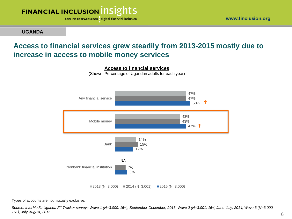



**UGANDA**

# **Access to financial services grew steadily from 2013-2015 mostly due to increase in access to mobile money services**



**Access to financial services** (Shown: Percentage of Ugandan adults for each year)

Types of accounts are not mutually exclusive.

*Source: InterMedia Uganda FII Tracker surveys Wave 1 (N=3,000, 15+), September-December, 2013, Wave 2 (N=3,001, 15+) June-July, 2014, Wave 3 (N=3,000, 15+), July-August, 2015.*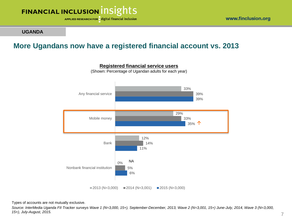

**UGANDA**

### **More Ugandans now have a registered financial account vs. 2013**



**Registered financial service users**

(Shown: Percentage of Ugandan adults for each year)

Types of accounts are not mutually exclusive.

*Source: InterMedia Uganda FII Tracker surveys Wave 1 (N=3,000, 15+), September-December, 2013, Wave 2 (N=3,001, 15+) June-July, 2014, Wave 3 (N=3,000, 15+), July-August, 2015.*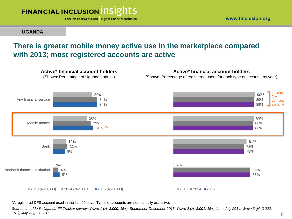

**UGANDA**

#### www.finclusion.org

### **There is greater mobile money active use in the marketplace compared with 2013; most registered accounts are active**



\*A registered DFS account used in the last 90 days. Types of accounts are not mutually exclusive.

*Source: InterMedia Uganda FII Tracker surveys Wave 1 (N=3,000, 15+), September-December 2013; Wave 2 (N=3,001, 15+) June-July 2014; Wave 3 (N=3,000, 15+), July-August 2015.*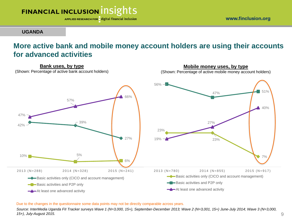

**UGANDA**

### **More active bank and mobile money account holders are using their accounts for advanced activities**



Due to the changes in the questionnaire some data points may not be directly comparable across years.

*Source: InterMedia Uganda FII Tracker surveys Wave 1 (N=3,000, 15+), September-December 2013; Wave 2 (N=3,001, 15+) June-July 2014; Wave 3 (N=3,000, 15+), July-August 2015.*

www.finclusion.org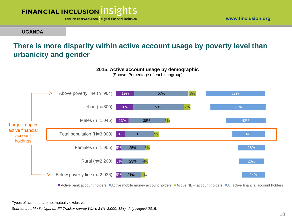



#### **UGANDA**

# **There is more disparity within active account usage by poverty level than urbanicity and gender**



Active bank account holders Active mobile money account holders Active NBFI account holders All active financial account holders

Types of accounts are not mutually exclusive.

*Source: InterMedia Uganda FII Tracker survey Wave 3 (N=3,000, 15+), July-August 2015.*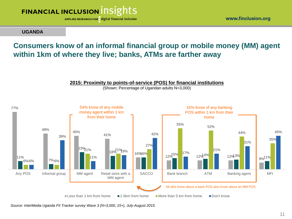

www.finclusion.org

#### **UGANDA**

# **Consumers know of an informal financial group or mobile money (MM) agent within 1km of where they live; banks, ATMs are farther away**



*Source: InterMedia Uganda FII Tracker survey Wave 3 (N=3,000, 15+), July-August 2015.*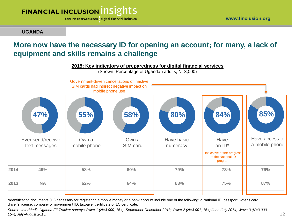

APPLIED RESEARCH FOR digital financial inclusion

**UGANDA**

# **More now have the necessary ID for opening an account; for many, a lack of equipment and skills remains a challenge**



\*Identification documents (ID) necessary for registering a mobile money or a bank account include one of the following: a National ID, passport, voter's card, driver's license, company or government ID, taxpayer certificate or LC certificate.

*Source: InterMedia Uganda FII Tracker surveys Wave 1 (N=3,000, 15+), September-December 2013; Wave 2 (N=3,001, 15+) June-July 2014; Wave 3 (N=3,000, 15+), July-August 2015.*

**2013 NA 62% 64% 83% 75% 87%**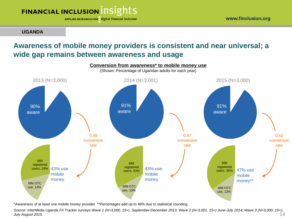

APPLIED RESEARCH FOR digital financial inclusion

**UGANDA**

# **Awareness of mobile money providers is consistent and near universal; a wide gap remains between awareness and usage**



\*Awareness of at least one mobile money provider. \*\*Percentages add up to 48% due to statistical rounding.

14 *Source: InterMedia Uganda FII Tracker surveys Wave 1 (N=3,000, 15+), September-December 2013; Wave 2 (N=3,001, 15+) June-July 2014; Wave 3 (N=3,000, 15+), July-August 2015.*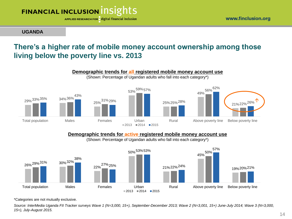

APPLIED RESEARCH FOR digital financial inclusion

**UGANDA**

### **There's a higher rate of mobile money account ownership among those living below the poverty line vs. 2013**



### **Demographic trends for active registered mobile money account use**

(Shown: Percentage of Ugandan adults who fall into each category\*)



\*Categories are not mutually exclusive.

*Source: InterMedia Uganda FII Tracker surveys Wave 1 (N=3,000, 15+), September-December 2013; Wave 2 (N=3,001, 15+) June-July 2014; Wave 3 (N=3,000, 15+), July-August 2015.*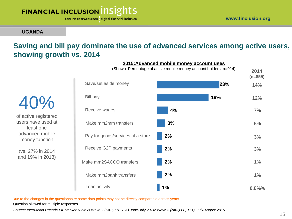APPLIED RESEARCH FOR digital financial inclusion

### **UGANDA**

40%

of active registered users have used at least one advanced mobile money function

(vs. 27% in 2014 and 19% in 2013)

# **Saving and bill pay dominate the use of advanced services among active users, showing growth vs. 2014**

**23% 19% 4% 3% 2% 2% 2% 2% 1%** Loan activity Save/set aside money Bill pay Receive wages Pay for goods/services at a store Make mm2mm transfers Receive G2P payments Make mm2bank transfers Make mm2SACCO transfers **2014 (n=855) 14% 12% 3% 3% 1% 1% 0.8%% 7% 6%** (Shown: Percentage of active mobile money account holders, n=914)

**2015:Advanced mobile money account uses**

Due to the changes in the questionnaire some data points may not be directly comparable across years.

Question allowed for multiple responses.

*Source: InterMedia Uganda FII Tracker surveys Wave 2 (N=3,001, 15+) June-July 2014; Wave 3 (N=3,000, 15+), July-August 2015.*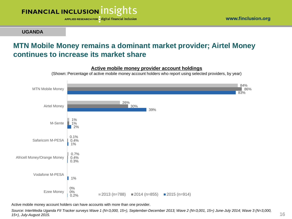

**UGANDA**

#### www.finclusion.org

### **MTN Mobile Money remains a dominant market provider; Airtel Money continues to increase its market share**

#### **Active mobile money provider account holdings**

(Shown: Percentage of active mobile money account holders who report using selected providers, by year)



Active mobile money account holders can have accounts with more than one provider.

*Source: InterMedia Uganda FII Tracker surveys Wave 1 (N=3,000, 15+), September-December 2013; Wave 2 (N=3,001, 15+) June-July 2014; Wave 3 (N=3,000, 15+), July-August 2015.*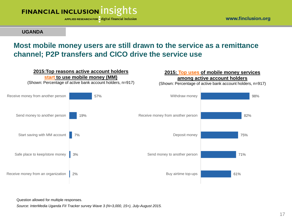

**UGANDA**

### **Most mobile money users are still drawn to the service as a remittance channel; P2P transfers and CICO drive the service use**



Question allowed for multiple responses.

*Source: InterMedia Uganda FII Tracker survey Wave 3 (N=3,000, 15+), July-August 2015.*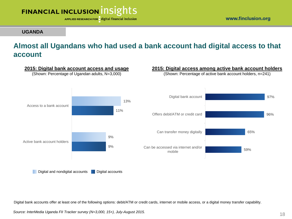

**UGANDA**

# **Almost all Ugandans who had used a bank account had digital access to that account**



#### **2015: Digital access among active bank account holders**

(Shown: Percentage of active bank account holders, n=241)



Digital bank accounts offer at least one of the following options: debit/ATM or credit cards, internet or mobile access, or a digital money transfer capability.

*Source: InterMedia Uganda FII Tracker survey (N=3,000, 15+), July-August 2015.*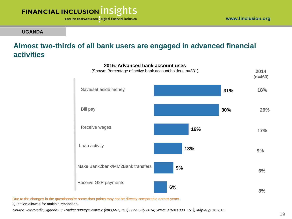

### **UGANDA**

# **Almost two-thirds of all bank users are engaged in advanced financial activities**



Due to the changes in the questionnaire some data points may not be directly comparable across years.

Question allowed for multiple responses.

*Source: InterMedia Uganda FII Tracker surveys Wave 2 (N=3,001, 15+) June-July 2014; Wave 3 (N=3,000, 15+), July-August 2015.*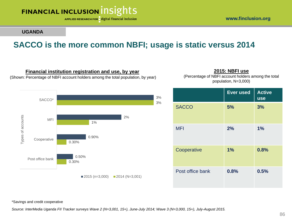

**Financial institution registration and use, by year** (Shown: Percentage of NBFI account holders among the total population, by year)

APPLIED RESEARCH FOR digital financial inclusion

### **UGANDA**

# **SACCO is the more common NBFI; usage is static versus 2014**



**2015: NBFI use**

(Percentage of NBFI account holders among the total population, N=3,000)

|                  | <b>Ever used</b> | <b>Active</b><br><b>use</b> |
|------------------|------------------|-----------------------------|
| <b>SACCO</b>     | 5%               | 3%                          |
| <b>MFI</b>       | 2%               | 1%                          |
| Cooperative      | 1%               | 0.8%                        |
| Post office bank | 0.8%             | 0.5%                        |

\*Savings and credit cooperative

*Source: InterMedia Uganda FII Tracker surveys Wave 2 (N=3,001, 15+), June-July 2014; Wave 3 (N=3,000, 15+), July-August 2015.*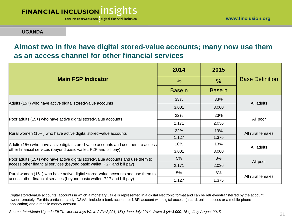APPLIED RESEARCH FOR digital financial inclusion

**UGANDA**

### **Almost two in five have digital stored-value accounts; many now use them as an access channel for other financial services**

|                                                                                   | 2014          | 2015          | <b>Base Definition</b> |  |
|-----------------------------------------------------------------------------------|---------------|---------------|------------------------|--|
| <b>Main FSP Indicator</b>                                                         | $\frac{0}{0}$ | $\frac{0}{0}$ |                        |  |
|                                                                                   | Base n        | Base n        |                        |  |
|                                                                                   | 33%           | 33%           | All adults             |  |
| Adults (15+) who have active digital stored-value accounts                        | 3,001         | 3,000         |                        |  |
|                                                                                   | 22%           | 23%           | All poor               |  |
| Poor adults (15+) who have active digital stored-value accounts                   | 2,171         | 2,036         |                        |  |
| Rural women (15+) who have active digital stored-value accounts                   | 22%           | 19%           | All rural females      |  |
|                                                                                   | 1,127         | 1,375         |                        |  |
| Adults (15+) who have active digital stored-value accounts and use them to access | 10%           | 13%           | All adults             |  |
| other financial services (beyond basic wallet, P2P and bill pay)                  | 3,001         | 3,000         |                        |  |
| Poor adults (15+) who have active digital stored-value accounts and use them to   | 5%            | 8%            | All poor               |  |
| access other financial services (beyond basic wallet, P2P and bill pay)           | 2,171         | 2,036         |                        |  |
| Rural women (15+) who have active digital stored-value accounts and use them to   | 5%            | 6%            | All rural females      |  |
| access other financial services (beyond basic wallet, P2P and bill pay)           | 1,127         | 1,375         |                        |  |

Digital stored-value accounts: accounts in which a monetary value is represented in a digital electronic format and can be retrieved/transferred by the account owner remotely. For this particular study, DSVAs include a bank account or NBFI account with digital access (a card, online access or a mobile phone application) and a mobile money account.

21 *Source: InterMedia Uganda FII Tracker surveys Wave 2 (N=3,001, 15+) June-July 2014; Wave 3 (N=3,000, 15+), July-August 2015.*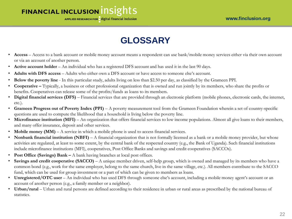APPLIED RESEARCH FOR digital financial inclusion

# **GLOSSARY**

- **Access** Access to a bank account or mobile money account means a respondent can use bank/mobile money services either via their own account or via an account of another person.
- **Active account holder** An individual who has a registered DFS account and has used it in the last 90 days.
- **Adults with DFS access** Adults who either own a DFS account or have access to someone else's account.
- **Below the poverty line**  In this particular study, adults living on less than \$2.50 per day, as classified by the Grameen PPI.
- **Cooperative –** Typically, a business or other professional organization that is owned and run jointly by its members, who share the profits or benefits. Cooperatives can release some of the profits/funds as loans to its members.
- **Digital financial services (DFS)** Financial services that are provided through an electronic platform (mobile phones, electronic cards, the internet, etc.).
- **Grameen Progress out of Poverty Index (PPI)**  A poverty measurement tool from the Grameen Foundation wherein a set of country-specific questions are used to compute the likelihood that a household is living below the poverty line.
- **Microfinance institution (MFI)** An organization that offers financial services to low income populations. Almost all give loans to their members, and many offer insurance, deposit and other services.
- **Mobile money (MM)** A service in which a mobile phone is used to access financial services.
- **Nonbank financial institution (NBFI)** A financial organization that is not formally licensed as a bank or a mobile money provider, but whose activities are regulated, at least to some extent, by the central bank of the respected country (e.g., the Bank of Uganda). Such financial institutions include microfinance institutions (MFI), cooperatives, Post Office Banks and savings and credit cooperatives (SACCOs).
- **Post Office (Savings) Bank –** A bank having branches at local post offices.
- **Savings and credit cooperative (SACCO)** A unique member driven, self-help group, which is owned and managed by its members who have a common bond (e.g., work for the same employer, belong to the same church, live in the same village, etc.). All members contribute to the SACCO fund, which can be used for group investment or a part of which can be given to members as loans.
- **Unregistered/OTC user** An individual who has used DFS through someone else's account, including a mobile money agent's account or an account of another person (e.g., a family member or a neighbor).
- Urban/rural Urban and rural persons are defined according to their residence in urban or rural areas as prescribed by the national bureau of statistics.